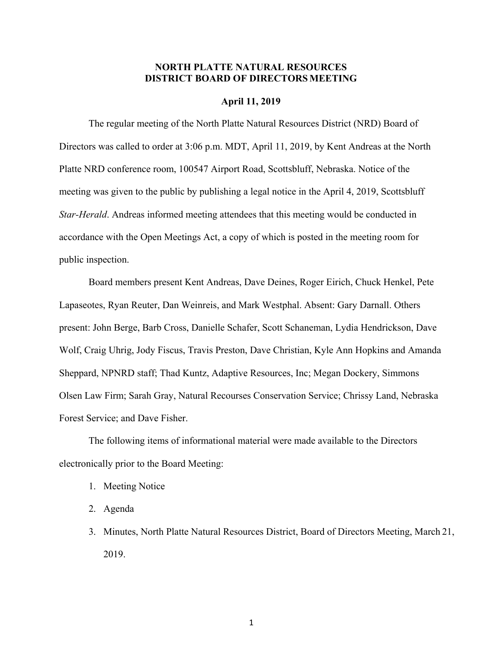# **NORTH PLATTE NATURAL RESOURCES DISTRICT BOARD OF DIRECTORS MEETING**

#### **April 11, 2019**

The regular meeting of the North Platte Natural Resources District (NRD) Board of Directors was called to order at 3:06 p.m. MDT, April 11, 2019, by Kent Andreas at the North Platte NRD conference room, 100547 Airport Road, Scottsbluff, Nebraska. Notice of the meeting was given to the public by publishing a legal notice in the April 4, 2019, Scottsbluff *Star-Herald*. Andreas informed meeting attendees that this meeting would be conducted in accordance with the Open Meetings Act, a copy of which is posted in the meeting room for public inspection.

Board members present Kent Andreas, Dave Deines, Roger Eirich, Chuck Henkel, Pete Lapaseotes, Ryan Reuter, Dan Weinreis, and Mark Westphal. Absent: Gary Darnall. Others present: John Berge, Barb Cross, Danielle Schafer, Scott Schaneman, Lydia Hendrickson, Dave Wolf, Craig Uhrig, Jody Fiscus, Travis Preston, Dave Christian, Kyle Ann Hopkins and Amanda Sheppard, NPNRD staff; Thad Kuntz, Adaptive Resources, Inc; Megan Dockery, Simmons Olsen Law Firm; Sarah Gray, Natural Recourses Conservation Service; Chrissy Land, Nebraska Forest Service; and Dave Fisher.

The following items of informational material were made available to the Directors electronically prior to the Board Meeting:

- 1. Meeting Notice
- 2. Agenda
- 3. Minutes, North Platte Natural Resources District, Board of Directors Meeting, March 21, 2019.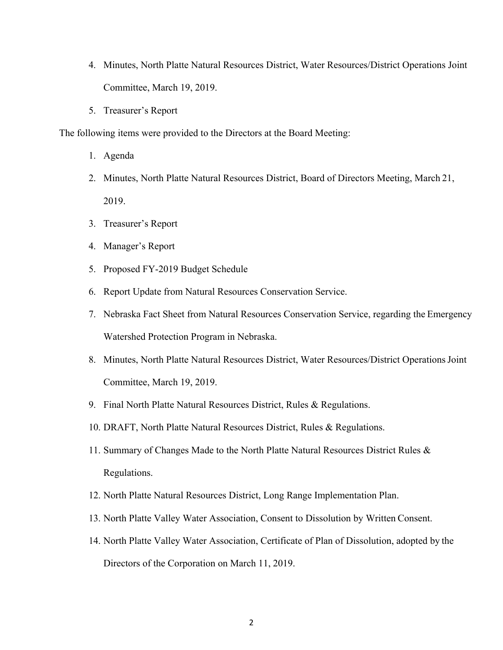- 4. Minutes, North Platte Natural Resources District, Water Resources/District Operations Joint Committee, March 19, 2019.
- 5. Treasurer's Report

The following items were provided to the Directors at the Board Meeting:

- 1. Agenda
- 2. Minutes, North Platte Natural Resources District, Board of Directors Meeting, March 21, 2019.
- 3. Treasurer's Report
- 4. Manager's Report
- 5. Proposed FY-2019 Budget Schedule
- 6. Report Update from Natural Resources Conservation Service.
- 7. Nebraska Fact Sheet from Natural Resources Conservation Service, regarding the Emergency Watershed Protection Program in Nebraska.
- 8. Minutes, North Platte Natural Resources District, Water Resources/District Operations Joint Committee, March 19, 2019.
- 9. Final North Platte Natural Resources District, Rules & Regulations.
- 10. DRAFT, North Platte Natural Resources District, Rules & Regulations.
- 11. Summary of Changes Made to the North Platte Natural Resources District Rules & Regulations.
- 12. North Platte Natural Resources District, Long Range Implementation Plan.
- 13. North Platte Valley Water Association, Consent to Dissolution by Written Consent.
- 14. North Platte Valley Water Association, Certificate of Plan of Dissolution, adopted by the Directors of the Corporation on March 11, 2019.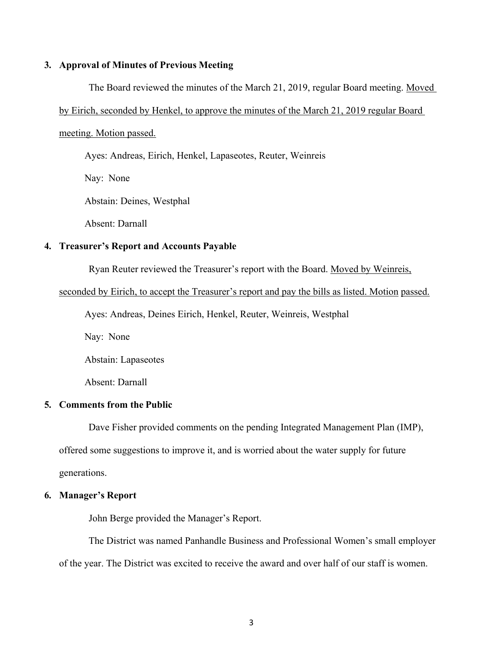## **3. Approval of Minutes of Previous Meeting**

The Board reviewed the minutes of the March 21, 2019, regular Board meeting. Moved

### by Eirich, seconded by Henkel, to approve the minutes of the March 21, 2019 regular Board

#### meeting. Motion passed.

Ayes: Andreas, Eirich, Henkel, Lapaseotes, Reuter, Weinreis

Nay: None

Abstain: Deines, Westphal

Absent: Darnall

## **4. Treasurer's Report and Accounts Payable**

Ryan Reuter reviewed the Treasurer's report with the Board. Moved by Weinreis,

### seconded by Eirich, to accept the Treasurer's report and pay the bills as listed. Motion passed.

Ayes: Andreas, Deines Eirich, Henkel, Reuter, Weinreis, Westphal

Nay: None

Abstain: Lapaseotes

Absent: Darnall

### **5. Comments from the Public**

Dave Fisher provided comments on the pending Integrated Management Plan (IMP), offered some suggestions to improve it, and is worried about the water supply for future generations.

# **6. Manager's Report**

John Berge provided the Manager's Report.

The District was named Panhandle Business and Professional Women's small employer of the year. The District was excited to receive the award and over half of our staff is women.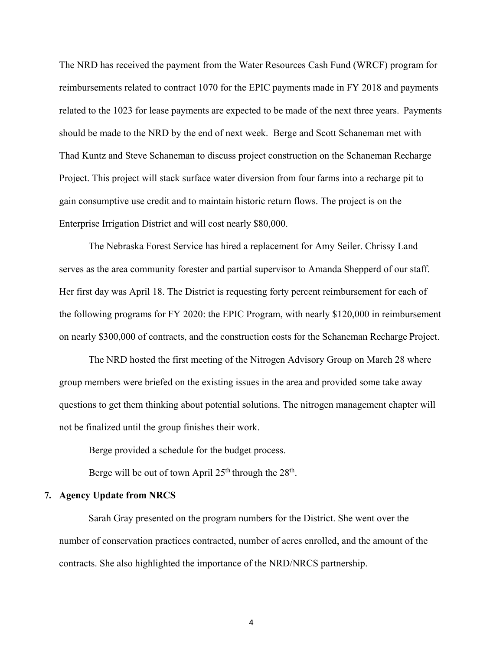The NRD has received the payment from the Water Resources Cash Fund (WRCF) program for reimbursements related to contract 1070 for the EPIC payments made in FY 2018 and payments related to the 1023 for lease payments are expected to be made of the next three years. Payments should be made to the NRD by the end of next week. Berge and Scott Schaneman met with Thad Kuntz and Steve Schaneman to discuss project construction on the Schaneman Recharge Project. This project will stack surface water diversion from four farms into a recharge pit to gain consumptive use credit and to maintain historic return flows. The project is on the Enterprise Irrigation District and will cost nearly \$80,000.

The Nebraska Forest Service has hired a replacement for Amy Seiler. Chrissy Land serves as the area community forester and partial supervisor to Amanda Shepperd of our staff. Her first day was April 18. The District is requesting forty percent reimbursement for each of the following programs for FY 2020: the EPIC Program, with nearly \$120,000 in reimbursement on nearly \$300,000 of contracts, and the construction costs for the Schaneman Recharge Project.

The NRD hosted the first meeting of the Nitrogen Advisory Group on March 28 where group members were briefed on the existing issues in the area and provided some take away questions to get them thinking about potential solutions. The nitrogen management chapter will not be finalized until the group finishes their work.

Berge provided a schedule for the budget process.

Berge will be out of town April  $25<sup>th</sup>$  through the  $28<sup>th</sup>$ .

### **7. Agency Update from NRCS**

Sarah Gray presented on the program numbers for the District. She went over the number of conservation practices contracted, number of acres enrolled, and the amount of the contracts. She also highlighted the importance of the NRD/NRCS partnership.

4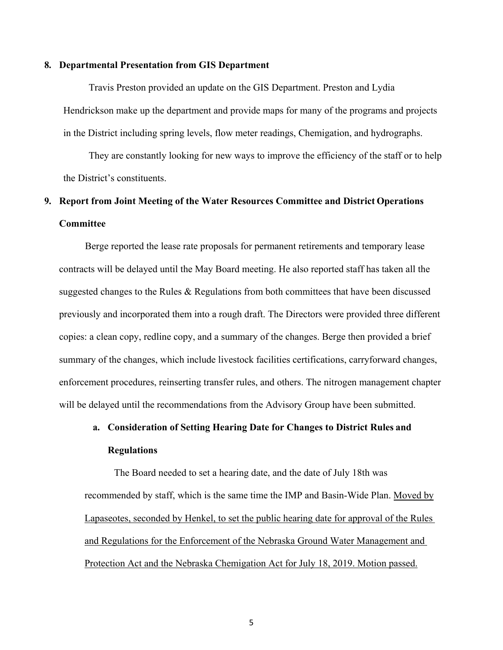### **8. Departmental Presentation from GIS Department**

Travis Preston provided an update on the GIS Department. Preston and Lydia Hendrickson make up the department and provide maps for many of the programs and projects in the District including spring levels, flow meter readings, Chemigation, and hydrographs.

They are constantly looking for new ways to improve the efficiency of the staff or to help the District's constituents.

# **9. Report from Joint Meeting of the Water Resources Committee and District Operations Committee**

Berge reported the lease rate proposals for permanent retirements and temporary lease contracts will be delayed until the May Board meeting. He also reported staff has taken all the suggested changes to the Rules & Regulations from both committees that have been discussed previously and incorporated them into a rough draft. The Directors were provided three different copies: a clean copy, redline copy, and a summary of the changes. Berge then provided a brief summary of the changes, which include livestock facilities certifications, carryforward changes, enforcement procedures, reinserting transfer rules, and others. The nitrogen management chapter will be delayed until the recommendations from the Advisory Group have been submitted.

# **a. Consideration of Setting Hearing Date for Changes to District Rules and Regulations**

The Board needed to set a hearing date, and the date of July 18th was recommended by staff, which is the same time the IMP and Basin-Wide Plan. Moved by Lapaseotes, seconded by Henkel, to set the public hearing date for approval of the Rules and Regulations for the Enforcement of the Nebraska Ground Water Management and Protection Act and the Nebraska Chemigation Act for July 18, 2019. Motion passed.

5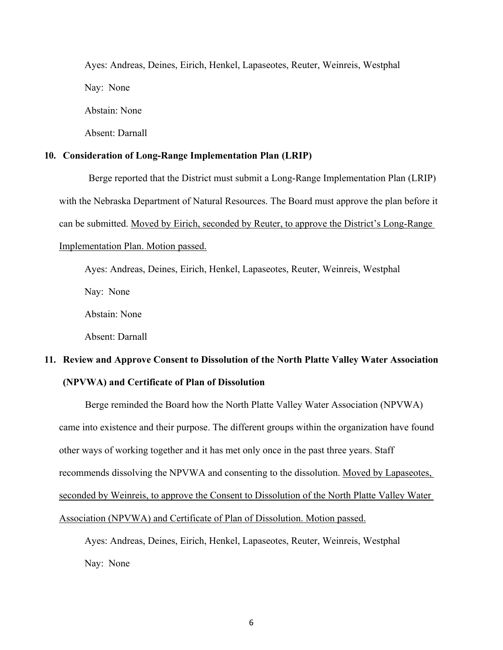Ayes: Andreas, Deines, Eirich, Henkel, Lapaseotes, Reuter, Weinreis, Westphal Nay: None Abstain: None

# **10. Consideration of Long-Range Implementation Plan (LRIP)**

Berge reported that the District must submit a Long-Range Implementation Plan (LRIP) with the Nebraska Department of Natural Resources. The Board must approve the plan before it can be submitted. Moved by Eirich, seconded by Reuter, to approve the District's Long-Range Implementation Plan. Motion passed.

Ayes: Andreas, Deines, Eirich, Henkel, Lapaseotes, Reuter, Weinreis, Westphal

Nay: None

Abstain: None

Absent: Darnall

Absent: Darnall

# **11. Review and Approve Consent to Dissolution of the North Platte Valley Water Association (NPVWA) and Certificate of Plan of Dissolution**

Berge reminded the Board how the North Platte Valley Water Association (NPVWA) came into existence and their purpose. The different groups within the organization have found other ways of working together and it has met only once in the past three years. Staff recommends dissolving the NPVWA and consenting to the dissolution. Moved by Lapaseotes, seconded by Weinreis, to approve the Consent to Dissolution of the North Platte Valley Water Association (NPVWA) and Certificate of Plan of Dissolution. Motion passed.

Ayes: Andreas, Deines, Eirich, Henkel, Lapaseotes, Reuter, Weinreis, Westphal Nay: None